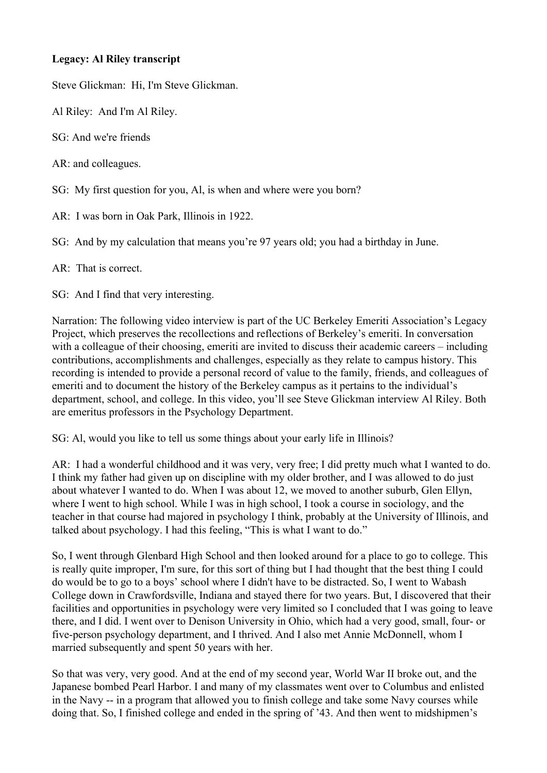## **Legacy: Al Riley transcript**

Steve Glickman: Hi, I'm Steve Glickman.

Al Riley: And I'm Al Riley.

SG: And we're friends

AR: and colleagues.

SG: My first question for you, Al, is when and where were you born?

AR: I was born in Oak Park, Illinois in 1922.

SG: And by my calculation that means you're 97 years old; you had a birthday in June.

AR: That is correct.

SG: And I find that very interesting.

Narration: The following video interview is part of the UC Berkeley Emeriti Association's Legacy Project, which preserves the recollections and reflections of Berkeley's emeriti. In conversation with a colleague of their choosing, emeriti are invited to discuss their academic careers – including contributions, accomplishments and challenges, especially as they relate to campus history. This recording is intended to provide a personal record of value to the family, friends, and colleagues of emeriti and to document the history of the Berkeley campus as it pertains to the individual's department, school, and college. In this video, you'll see Steve Glickman interview Al Riley. Both are emeritus professors in the Psychology Department.

SG: Al, would you like to tell us some things about your early life in Illinois?

AR: I had a wonderful childhood and it was very, very free; I did pretty much what I wanted to do. I think my father had given up on discipline with my older brother, and I was allowed to do just about whatever I wanted to do. When I was about 12, we moved to another suburb, Glen Ellyn, where I went to high school. While I was in high school, I took a course in sociology, and the teacher in that course had majored in psychology I think, probably at the University of Illinois, and talked about psychology. I had this feeling, "This is what I want to do."

So, I went through Glenbard High School and then looked around for a place to go to college. This is really quite improper, I'm sure, for this sort of thing but I had thought that the best thing I could do would be to go to a boys' school where I didn't have to be distracted. So, I went to Wabash College down in Crawfordsville, Indiana and stayed there for two years. But, I discovered that their facilities and opportunities in psychology were very limited so I concluded that I was going to leave there, and I did. I went over to Denison University in Ohio, which had a very good, small, four- or five-person psychology department, and I thrived. And I also met Annie McDonnell, whom I married subsequently and spent 50 years with her.

So that was very, very good. And at the end of my second year, World War II broke out, and the Japanese bombed Pearl Harbor. I and many of my classmates went over to Columbus and enlisted in the Navy -- in a program that allowed you to finish college and take some Navy courses while doing that. So, I finished college and ended in the spring of '43. And then went to midshipmen's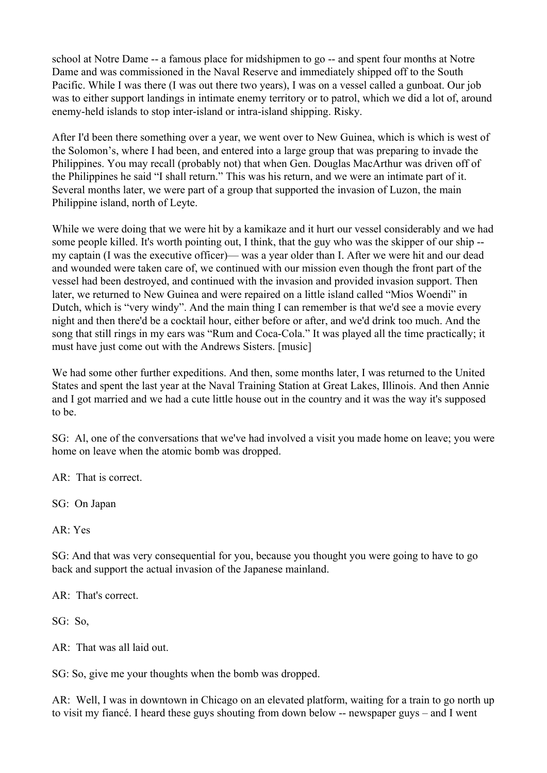school at Notre Dame -- a famous place for midshipmen to go -- and spent four months at Notre Dame and was commissioned in the Naval Reserve and immediately shipped off to the South Pacific. While I was there (I was out there two years), I was on a vessel called a gunboat. Our job was to either support landings in intimate enemy territory or to patrol, which we did a lot of, around enemy-held islands to stop inter-island or intra-island shipping. Risky.

After I'd been there something over a year, we went over to New Guinea, which is which is west of the Solomon's, where I had been, and entered into a large group that was preparing to invade the Philippines. You may recall (probably not) that when Gen. Douglas MacArthur was driven off of the Philippines he said "I shall return." This was his return, and we were an intimate part of it. Several months later, we were part of a group that supported the invasion of Luzon, the main Philippine island, north of Leyte.

While we were doing that we were hit by a kamikaze and it hurt our vessel considerably and we had some people killed. It's worth pointing out, I think, that the guy who was the skipper of our ship - my captain (I was the executive officer)— was a year older than I. After we were hit and our dead and wounded were taken care of, we continued with our mission even though the front part of the vessel had been destroyed, and continued with the invasion and provided invasion support. Then later, we returned to New Guinea and were repaired on a little island called "Mios Woendi" in Dutch, which is "very windy". And the main thing I can remember is that we'd see a movie every night and then there'd be a cocktail hour, either before or after, and we'd drink too much. And the song that still rings in my ears was "Rum and Coca-Cola." It was played all the time practically; it must have just come out with the Andrews Sisters. [music]

We had some other further expeditions. And then, some months later, I was returned to the United States and spent the last year at the Naval Training Station at Great Lakes, Illinois. And then Annie and I got married and we had a cute little house out in the country and it was the way it's supposed to be.

SG: Al, one of the conversations that we've had involved a visit you made home on leave; you were home on leave when the atomic bomb was dropped.

AR: That is correct.

SG: On Japan

AR: Yes

SG: And that was very consequential for you, because you thought you were going to have to go back and support the actual invasion of the Japanese mainland.

AR: That's correct.

SG: So,

AR: That was all laid out.

SG: So, give me your thoughts when the bomb was dropped.

AR: Well, I was in downtown in Chicago on an elevated platform, waiting for a train to go north up to visit my fiancé. I heard these guys shouting from down below -- newspaper guys – and I went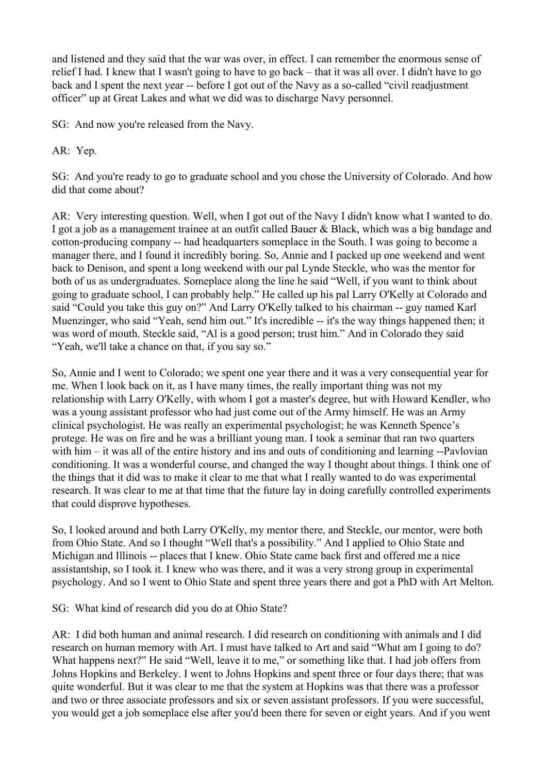and listened and they said that the war was over, in effect. I can remember the enormous sense of relief I had. I knew that I wasn't going to have to go back – that it was all over. I didn't have to go back and I spent the next year -- before I got out of the Navy as a so-called "civil readjustment officer" up at Great Lakes and what we did was to discharge Navy personnel.

SG: And now you're released from the Navy.

AR: Yep.

SG: And you're ready to go to graduate school and you chose the University of Colorado. And how did that come about?

AR: Very interesting question. Well, when I got out of the Navy I didn't know what I wanted to do. I got a job as a management trainee at an outfit called Bauer & Black, which was a big bandage and cotton-producing company -- had headquarters someplace in the South. I was going to become a manager there, and I found it incredibly boring. So, Annie and I packed up one weekend and went back to Denison, and spent a long weekend with our pal Lynde Steckle, who was the mentor for both of us as undergraduates. Someplace along the line he said "Well, if you want to think about going to graduate school, I can probably help." He called up his pal Larry O'Kelly at Colorado and said "Could you take this guy on?" And Larry O'Kelly talked to his chairman -- guy named Karl Muenzinger, who said "Yeah, send him out." It's incredible -- it's the way things happened then; it was word of mouth. Steckle said, "Al is a good person; trust him." And in Colorado they said "Yeah, we'll take a chance on that, if you say so."

So, Annie and I went to Colorado; we spent one year there and it was a very consequential year for me. When I look back on it, as I have many times, the really important thing was not my relationship with Larry O'Kelly, with whom I got a master's degree, but with Howard Kendler, who was a young assistant professor who had just come out of the Army himself. He was an Army clinical psychologist. He was really an experimental psychologist; he was Kenneth Spence's protege. He was on fire and he was a brilliant young man. I took a seminar that ran two quarters with him – it was all of the entire history and ins and outs of conditioning and learning --Pavlovian conditioning. It was a wonderful course, and changed the way I thought about things. I think one of the things that it did was to make it clear to me that what I really wanted to do was experimental research. It was clear to me at that time that the future lay in doing carefully controlled experiments that could disprove hypotheses.

So, I looked around and both Larry O'Kelly, my mentor there, and Steckle, our mentor, were both from Ohio State. And so I thought "Well that's a possibility." And I applied to Ohio State and Michigan and Illinois -- places that I knew. Ohio State came back first and offered me a nice assistantship, so I took it. I knew who was there, and it was a very strong group in experimental psychology. And so I went to Ohio State and spent three years there and got a PhD with Art Melton.

SG: What kind of research did you do at Ohio State?

AR: I did both human and animal research. I did research on conditioning with animals and I did research on human memory with Art. I must have talked to Art and said "What am I going to do? What happens next?" He said "Well, leave it to me," or something like that. I had job offers from Johns Hopkins and Berkeley. I went to Johns Hopkins and spent three or four days there; that was quite wonderful. But it was clear to me that the system at Hopkins was that there was a professor and two or three associate professors and six or seven assistant professors. If you were successful, you would get a job someplace else after you'd been there for seven or eight years. And if you went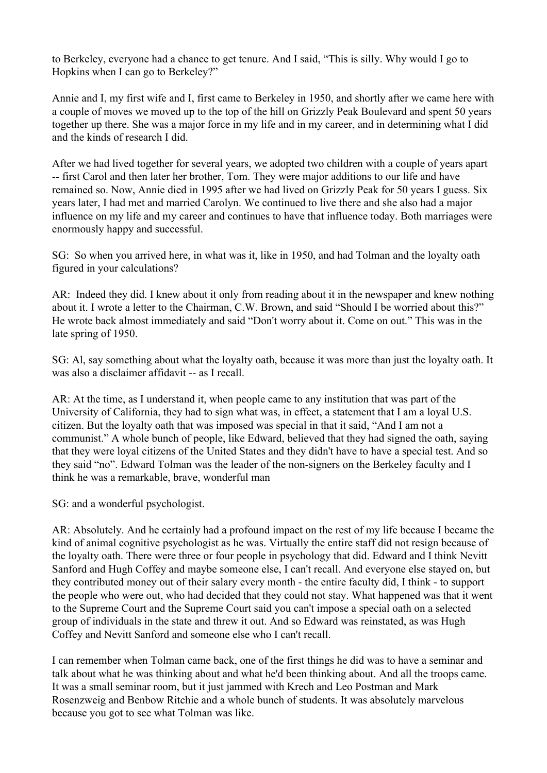to Berkeley, everyone had a chance to get tenure. And I said, "This is silly. Why would I go to Hopkins when I can go to Berkeley?"

Annie and I, my first wife and I, first came to Berkeley in 1950, and shortly after we came here with a couple of moves we moved up to the top of the hill on Grizzly Peak Boulevard and spent 50 years together up there. She was a major force in my life and in my career, and in determining what I did and the kinds of research I did.

After we had lived together for several years, we adopted two children with a couple of years apart -- first Carol and then later her brother, Tom. They were major additions to our life and have remained so. Now, Annie died in 1995 after we had lived on Grizzly Peak for 50 years I guess. Six years later, I had met and married Carolyn. We continued to live there and she also had a major influence on my life and my career and continues to have that influence today. Both marriages were enormously happy and successful.

SG: So when you arrived here, in what was it, like in 1950, and had Tolman and the loyalty oath figured in your calculations?

AR: Indeed they did. I knew about it only from reading about it in the newspaper and knew nothing about it. I wrote a letter to the Chairman, C.W. Brown, and said "Should I be worried about this?" He wrote back almost immediately and said "Don't worry about it. Come on out." This was in the late spring of 1950.

SG: Al, say something about what the loyalty oath, because it was more than just the loyalty oath. It was also a disclaimer affidavit -- as I recall.

AR: At the time, as I understand it, when people came to any institution that was part of the University of California, they had to sign what was, in effect, a statement that I am a loyal U.S. citizen. But the loyalty oath that was imposed was special in that it said, "And I am not a communist." A whole bunch of people, like Edward, believed that they had signed the oath, saying that they were loyal citizens of the United States and they didn't have to have a special test. And so they said "no". Edward Tolman was the leader of the non-signers on the Berkeley faculty and I think he was a remarkable, brave, wonderful man

SG: and a wonderful psychologist.

AR: Absolutely. And he certainly had a profound impact on the rest of my life because I became the kind of animal cognitive psychologist as he was. Virtually the entire staff did not resign because of the loyalty oath. There were three or four people in psychology that did. Edward and I think Nevitt Sanford and Hugh Coffey and maybe someone else, I can't recall. And everyone else stayed on, but they contributed money out of their salary every month - the entire faculty did, I think - to support the people who were out, who had decided that they could not stay. What happened was that it went to the Supreme Court and the Supreme Court said you can't impose a special oath on a selected group of individuals in the state and threw it out. And so Edward was reinstated, as was Hugh Coffey and Nevitt Sanford and someone else who I can't recall.

I can remember when Tolman came back, one of the first things he did was to have a seminar and talk about what he was thinking about and what he'd been thinking about. And all the troops came. It was a small seminar room, but it just jammed with Krech and Leo Postman and Mark Rosenzweig and Benbow Ritchie and a whole bunch of students. It was absolutely marvelous because you got to see what Tolman was like.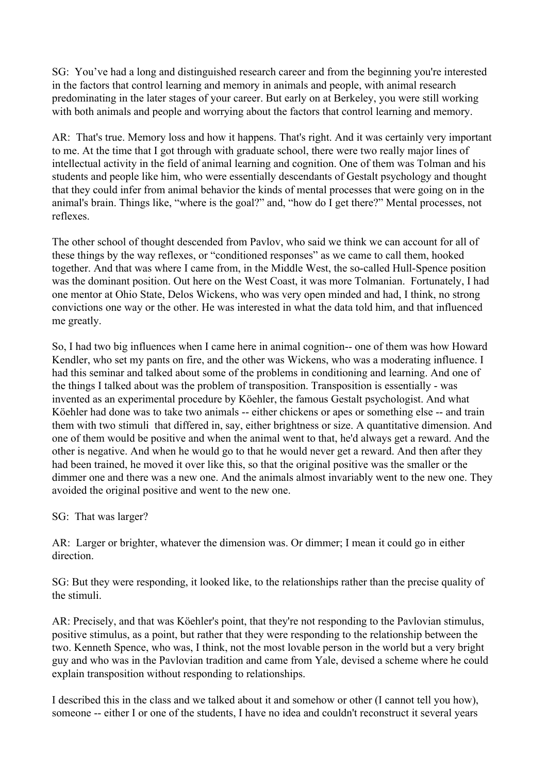SG: You've had a long and distinguished research career and from the beginning you're interested in the factors that control learning and memory in animals and people, with animal research predominating in the later stages of your career. But early on at Berkeley, you were still working with both animals and people and worrying about the factors that control learning and memory.

AR: That's true. Memory loss and how it happens. That's right. And it was certainly very important to me. At the time that I got through with graduate school, there were two really major lines of intellectual activity in the field of animal learning and cognition. One of them was Tolman and his students and people like him, who were essentially descendants of Gestalt psychology and thought that they could infer from animal behavior the kinds of mental processes that were going on in the animal's brain. Things like, "where is the goal?" and, "how do I get there?" Mental processes, not reflexes.

The other school of thought descended from Pavlov, who said we think we can account for all of these things by the way reflexes, or "conditioned responses" as we came to call them, hooked together. And that was where I came from, in the Middle West, the so-called Hull-Spence position was the dominant position. Out here on the West Coast, it was more Tolmanian. Fortunately, I had one mentor at Ohio State, Delos Wickens, who was very open minded and had, I think, no strong convictions one way or the other. He was interested in what the data told him, and that influenced me greatly.

So, I had two big influences when I came here in animal cognition-- one of them was how Howard Kendler, who set my pants on fire, and the other was Wickens, who was a moderating influence. I had this seminar and talked about some of the problems in conditioning and learning. And one of the things I talked about was the problem of transposition. Transposition is essentially - was invented as an experimental procedure by Köehler, the famous Gestalt psychologist. And what Köehler had done was to take two animals -- either chickens or apes or something else -- and train them with two stimuli that differed in, say, either brightness or size. A quantitative dimension. And one of them would be positive and when the animal went to that, he'd always get a reward. And the other is negative. And when he would go to that he would never get a reward. And then after they had been trained, he moved it over like this, so that the original positive was the smaller or the dimmer one and there was a new one. And the animals almost invariably went to the new one. They avoided the original positive and went to the new one.

SG: That was larger?

AR: Larger or brighter, whatever the dimension was. Or dimmer; I mean it could go in either direction.

SG: But they were responding, it looked like, to the relationships rather than the precise quality of the stimuli.

AR: Precisely, and that was Köehler's point, that they're not responding to the Pavlovian stimulus, positive stimulus, as a point, but rather that they were responding to the relationship between the two. Kenneth Spence, who was, I think, not the most lovable person in the world but a very bright guy and who was in the Pavlovian tradition and came from Yale, devised a scheme where he could explain transposition without responding to relationships.

I described this in the class and we talked about it and somehow or other (I cannot tell you how), someone -- either I or one of the students, I have no idea and couldn't reconstruct it several years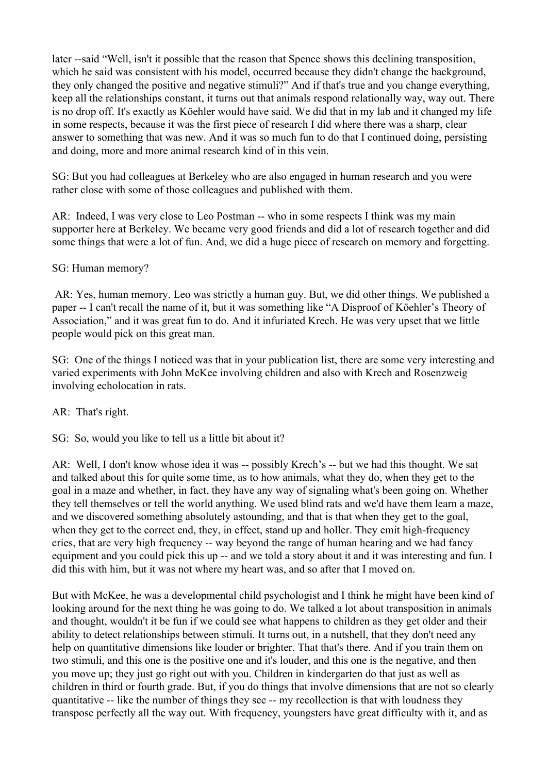later --said "Well, isn't it possible that the reason that Spence shows this declining transposition, which he said was consistent with his model, occurred because they didn't change the background, they only changed the positive and negative stimuli?" And if that's true and you change everything, keep all the relationships constant, it turns out that animals respond relationally way, way out. There is no drop off. It's exactly as Köehler would have said. We did that in my lab and it changed my life in some respects, because it was the first piece of research I did where there was a sharp, clear answer to something that was new. And it was so much fun to do that I continued doing, persisting and doing, more and more animal research kind of in this vein.

SG: But you had colleagues at Berkeley who are also engaged in human research and you were rather close with some of those colleagues and published with them.

AR: Indeed, I was very close to Leo Postman -- who in some respects I think was my main supporter here at Berkeley. We became very good friends and did a lot of research together and did some things that were a lot of fun. And, we did a huge piece of research on memory and forgetting.

## SG: Human memory?

 AR: Yes, human memory. Leo was strictly a human guy. But, we did other things. We published a paper -- I can't recall the name of it, but it was something like "A Disproof of Köehler's Theory of Association," and it was great fun to do. And it infuriated Krech. He was very upset that we little people would pick on this great man.

SG: One of the things I noticed was that in your publication list, there are some very interesting and varied experiments with John McKee involving children and also with Krech and Rosenzweig involving echolocation in rats.

AR: That's right.

SG: So, would you like to tell us a little bit about it?

AR: Well, I don't know whose idea it was -- possibly Krech's -- but we had this thought. We sat and talked about this for quite some time, as to how animals, what they do, when they get to the goal in a maze and whether, in fact, they have any way of signaling what's been going on. Whether they tell themselves or tell the world anything. We used blind rats and we'd have them learn a maze, and we discovered something absolutely astounding, and that is that when they get to the goal, when they get to the correct end, they, in effect, stand up and holler. They emit high-frequency cries, that are very high frequency -- way beyond the range of human hearing and we had fancy equipment and you could pick this up -- and we told a story about it and it was interesting and fun. I did this with him, but it was not where my heart was, and so after that I moved on.

But with McKee, he was a developmental child psychologist and I think he might have been kind of looking around for the next thing he was going to do. We talked a lot about transposition in animals and thought, wouldn't it be fun if we could see what happens to children as they get older and their ability to detect relationships between stimuli. It turns out, in a nutshell, that they don't need any help on quantitative dimensions like louder or brighter. That that's there. And if you train them on two stimuli, and this one is the positive one and it's louder, and this one is the negative, and then you move up; they just go right out with you. Children in kindergarten do that just as well as children in third or fourth grade. But, if you do things that involve dimensions that are not so clearly quantitative -- like the number of things they see -- my recollection is that with loudness they transpose perfectly all the way out. With frequency, youngsters have great difficulty with it, and as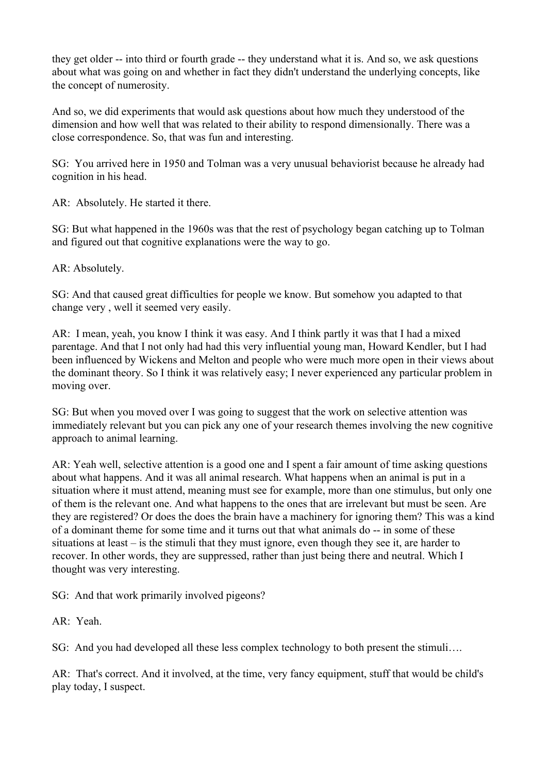they get older -- into third or fourth grade -- they understand what it is. And so, we ask questions about what was going on and whether in fact they didn't understand the underlying concepts, like the concept of numerosity.

And so, we did experiments that would ask questions about how much they understood of the dimension and how well that was related to their ability to respond dimensionally. There was a close correspondence. So, that was fun and interesting.

SG: You arrived here in 1950 and Tolman was a very unusual behaviorist because he already had cognition in his head.

AR: Absolutely. He started it there.

SG: But what happened in the 1960s was that the rest of psychology began catching up to Tolman and figured out that cognitive explanations were the way to go.

AR: Absolutely.

SG: And that caused great difficulties for people we know. But somehow you adapted to that change very , well it seemed very easily.

AR: I mean, yeah, you know I think it was easy. And I think partly it was that I had a mixed parentage. And that I not only had had this very influential young man, Howard Kendler, but I had been influenced by Wickens and Melton and people who were much more open in their views about the dominant theory. So I think it was relatively easy; I never experienced any particular problem in moving over.

SG: But when you moved over I was going to suggest that the work on selective attention was immediately relevant but you can pick any one of your research themes involving the new cognitive approach to animal learning.

AR: Yeah well, selective attention is a good one and I spent a fair amount of time asking questions about what happens. And it was all animal research. What happens when an animal is put in a situation where it must attend, meaning must see for example, more than one stimulus, but only one of them is the relevant one. And what happens to the ones that are irrelevant but must be seen. Are they are registered? Or does the does the brain have a machinery for ignoring them? This was a kind of a dominant theme for some time and it turns out that what animals do -- in some of these situations at least – is the stimuli that they must ignore, even though they see it, are harder to recover. In other words, they are suppressed, rather than just being there and neutral. Which I thought was very interesting.

SG: And that work primarily involved pigeons?

AR: Yeah.

SG: And you had developed all these less complex technology to both present the stimuli...

AR: That's correct. And it involved, at the time, very fancy equipment, stuff that would be child's play today, I suspect.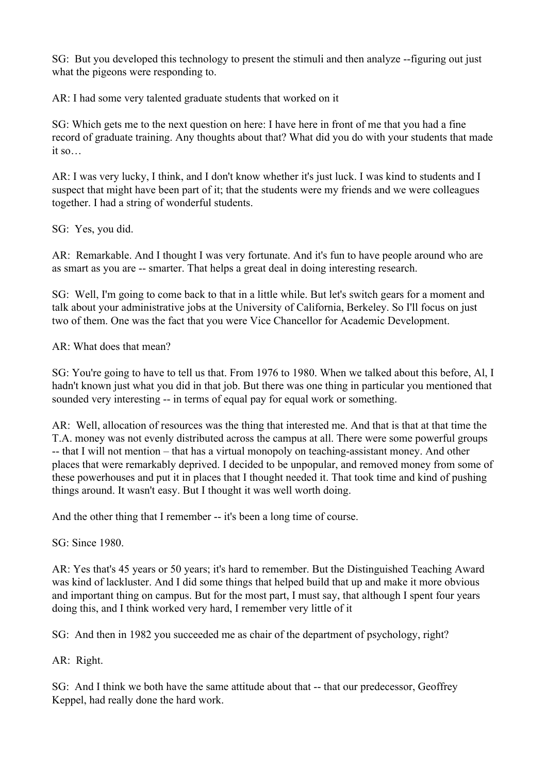SG: But you developed this technology to present the stimuli and then analyze --figuring out just what the pigeons were responding to.

AR: I had some very talented graduate students that worked on it

SG: Which gets me to the next question on here: I have here in front of me that you had a fine record of graduate training. Any thoughts about that? What did you do with your students that made it so…

AR: I was very lucky, I think, and I don't know whether it's just luck. I was kind to students and I suspect that might have been part of it; that the students were my friends and we were colleagues together. I had a string of wonderful students.

SG: Yes, you did.

AR: Remarkable. And I thought I was very fortunate. And it's fun to have people around who are as smart as you are -- smarter. That helps a great deal in doing interesting research.

SG: Well, I'm going to come back to that in a little while. But let's switch gears for a moment and talk about your administrative jobs at the University of California, Berkeley. So I'll focus on just two of them. One was the fact that you were Vice Chancellor for Academic Development.

AR: What does that mean?

SG: You're going to have to tell us that. From 1976 to 1980. When we talked about this before, Al, I hadn't known just what you did in that job. But there was one thing in particular you mentioned that sounded very interesting -- in terms of equal pay for equal work or something.

AR: Well, allocation of resources was the thing that interested me. And that is that at that time the T.A. money was not evenly distributed across the campus at all. There were some powerful groups -- that I will not mention – that has a virtual monopoly on teaching-assistant money. And other places that were remarkably deprived. I decided to be unpopular, and removed money from some of these powerhouses and put it in places that I thought needed it. That took time and kind of pushing things around. It wasn't easy. But I thought it was well worth doing.

And the other thing that I remember -- it's been a long time of course.

SG: Since 1980.

AR: Yes that's 45 years or 50 years; it's hard to remember. But the Distinguished Teaching Award was kind of lackluster. And I did some things that helped build that up and make it more obvious and important thing on campus. But for the most part, I must say, that although I spent four years doing this, and I think worked very hard, I remember very little of it

SG: And then in 1982 you succeeded me as chair of the department of psychology, right?

AR: Right.

SG: And I think we both have the same attitude about that -- that our predecessor, Geoffrey Keppel, had really done the hard work.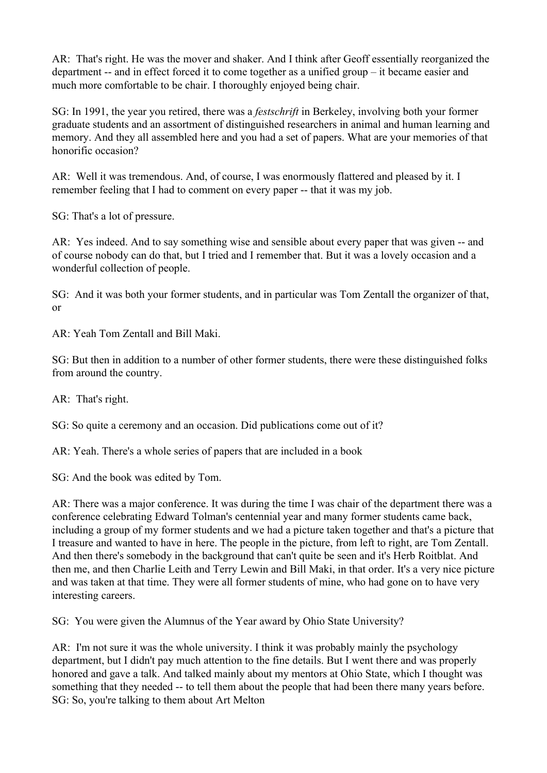AR: That's right. He was the mover and shaker. And I think after Geoff essentially reorganized the department -- and in effect forced it to come together as a unified group – it became easier and much more comfortable to be chair. I thoroughly enjoyed being chair.

SG: In 1991, the year you retired, there was a *festschrift* in Berkeley, involving both your former graduate students and an assortment of distinguished researchers in animal and human learning and memory. And they all assembled here and you had a set of papers. What are your memories of that honorific occasion?

AR: Well it was tremendous. And, of course, I was enormously flattered and pleased by it. I remember feeling that I had to comment on every paper -- that it was my job.

SG: That's a lot of pressure.

AR: Yes indeed. And to say something wise and sensible about every paper that was given -- and of course nobody can do that, but I tried and I remember that. But it was a lovely occasion and a wonderful collection of people.

SG: And it was both your former students, and in particular was Tom Zentall the organizer of that, or

AR: Yeah Tom Zentall and Bill Maki.

SG: But then in addition to a number of other former students, there were these distinguished folks from around the country.

AR: That's right.

SG: So quite a ceremony and an occasion. Did publications come out of it?

AR: Yeah. There's a whole series of papers that are included in a book

SG: And the book was edited by Tom.

AR: There was a major conference. It was during the time I was chair of the department there was a conference celebrating Edward Tolman's centennial year and many former students came back, including a group of my former students and we had a picture taken together and that's a picture that I treasure and wanted to have in here. The people in the picture, from left to right, are Tom Zentall. And then there's somebody in the background that can't quite be seen and it's Herb Roitblat. And then me, and then Charlie Leith and Terry Lewin and Bill Maki, in that order. It's a very nice picture and was taken at that time. They were all former students of mine, who had gone on to have very interesting careers.

SG: You were given the Alumnus of the Year award by Ohio State University?

AR: I'm not sure it was the whole university. I think it was probably mainly the psychology department, but I didn't pay much attention to the fine details. But I went there and was properly honored and gave a talk. And talked mainly about my mentors at Ohio State, which I thought was something that they needed -- to tell them about the people that had been there many years before. SG: So, you're talking to them about Art Melton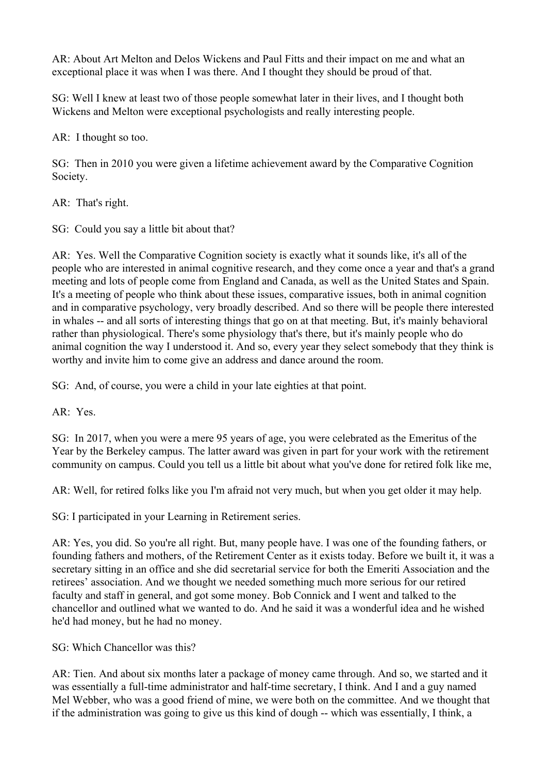AR: About Art Melton and Delos Wickens and Paul Fitts and their impact on me and what an exceptional place it was when I was there. And I thought they should be proud of that.

SG: Well I knew at least two of those people somewhat later in their lives, and I thought both Wickens and Melton were exceptional psychologists and really interesting people.

AR: I thought so too.

SG: Then in 2010 you were given a lifetime achievement award by the Comparative Cognition Society.

AR: That's right.

SG: Could you say a little bit about that?

AR: Yes. Well the Comparative Cognition society is exactly what it sounds like, it's all of the people who are interested in animal cognitive research, and they come once a year and that's a grand meeting and lots of people come from England and Canada, as well as the United States and Spain. It's a meeting of people who think about these issues, comparative issues, both in animal cognition and in comparative psychology, very broadly described. And so there will be people there interested in whales -- and all sorts of interesting things that go on at that meeting. But, it's mainly behavioral rather than physiological. There's some physiology that's there, but it's mainly people who do animal cognition the way I understood it. And so, every year they select somebody that they think is worthy and invite him to come give an address and dance around the room.

SG: And, of course, you were a child in your late eighties at that point.

AR: Yes.

SG: In 2017, when you were a mere 95 years of age, you were celebrated as the Emeritus of the Year by the Berkeley campus. The latter award was given in part for your work with the retirement community on campus. Could you tell us a little bit about what you've done for retired folk like me,

AR: Well, for retired folks like you I'm afraid not very much, but when you get older it may help.

SG: I participated in your Learning in Retirement series.

AR: Yes, you did. So you're all right. But, many people have. I was one of the founding fathers, or founding fathers and mothers, of the Retirement Center as it exists today. Before we built it, it was a secretary sitting in an office and she did secretarial service for both the Emeriti Association and the retirees' association. And we thought we needed something much more serious for our retired faculty and staff in general, and got some money. Bob Connick and I went and talked to the chancellor and outlined what we wanted to do. And he said it was a wonderful idea and he wished he'd had money, but he had no money.

SG: Which Chancellor was this?

AR: Tien. And about six months later a package of money came through. And so, we started and it was essentially a full-time administrator and half-time secretary, I think. And I and a guy named Mel Webber, who was a good friend of mine, we were both on the committee. And we thought that if the administration was going to give us this kind of dough -- which was essentially, I think, a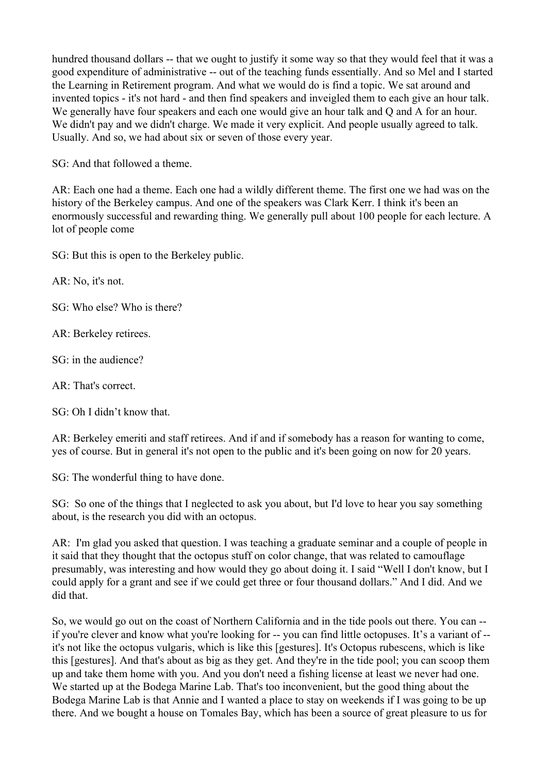hundred thousand dollars -- that we ought to justify it some way so that they would feel that it was a good expenditure of administrative -- out of the teaching funds essentially. And so Mel and I started the Learning in Retirement program. And what we would do is find a topic. We sat around and invented topics - it's not hard - and then find speakers and inveigled them to each give an hour talk. We generally have four speakers and each one would give an hour talk and Q and A for an hour. We didn't pay and we didn't charge. We made it very explicit. And people usually agreed to talk. Usually. And so, we had about six or seven of those every year.

SG: And that followed a theme.

AR: Each one had a theme. Each one had a wildly different theme. The first one we had was on the history of the Berkeley campus. And one of the speakers was Clark Kerr. I think it's been an enormously successful and rewarding thing. We generally pull about 100 people for each lecture. A lot of people come

SG: But this is open to the Berkeley public.

AR: No, it's not.

SG: Who else? Who is there?

AR: Berkeley retirees.

SG: in the audience?

AR: That's correct.

SG: Oh I didn't know that.

AR: Berkeley emeriti and staff retirees. And if and if somebody has a reason for wanting to come, yes of course. But in general it's not open to the public and it's been going on now for 20 years.

SG: The wonderful thing to have done.

SG: So one of the things that I neglected to ask you about, but I'd love to hear you say something about, is the research you did with an octopus.

AR: I'm glad you asked that question. I was teaching a graduate seminar and a couple of people in it said that they thought that the octopus stuff on color change, that was related to camouflage presumably, was interesting and how would they go about doing it. I said "Well I don't know, but I could apply for a grant and see if we could get three or four thousand dollars." And I did. And we did that.

So, we would go out on the coast of Northern California and in the tide pools out there. You can - if you're clever and know what you're looking for -- you can find little octopuses. It's a variant of - it's not like the octopus vulgaris, which is like this [gestures]. It's Octopus rubescens, which is like this [gestures]. And that's about as big as they get. And they're in the tide pool; you can scoop them up and take them home with you. And you don't need a fishing license at least we never had one. We started up at the Bodega Marine Lab. That's too inconvenient, but the good thing about the Bodega Marine Lab is that Annie and I wanted a place to stay on weekends if I was going to be up there. And we bought a house on Tomales Bay, which has been a source of great pleasure to us for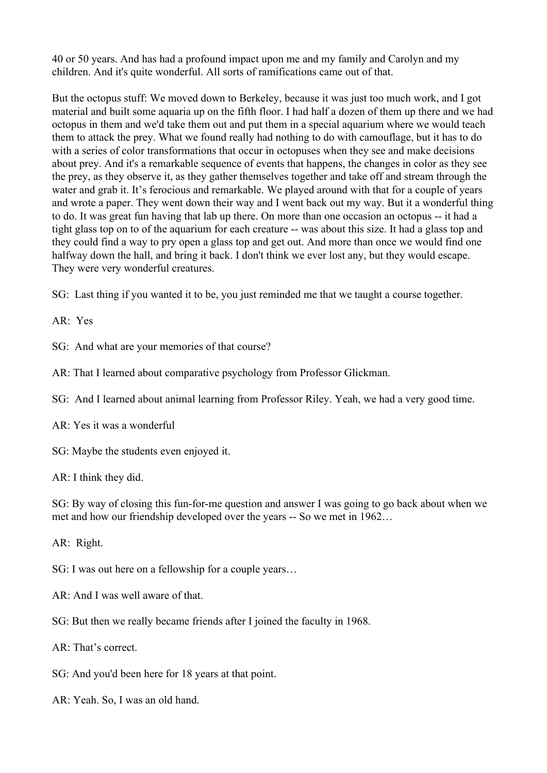40 or 50 years. And has had a profound impact upon me and my family and Carolyn and my children. And it's quite wonderful. All sorts of ramifications came out of that.

But the octopus stuff: We moved down to Berkeley, because it was just too much work, and I got material and built some aquaria up on the fifth floor. I had half a dozen of them up there and we had octopus in them and we'd take them out and put them in a special aquarium where we would teach them to attack the prey. What we found really had nothing to do with camouflage, but it has to do with a series of color transformations that occur in octopuses when they see and make decisions about prey. And it's a remarkable sequence of events that happens, the changes in color as they see the prey, as they observe it, as they gather themselves together and take off and stream through the water and grab it. It's ferocious and remarkable. We played around with that for a couple of years and wrote a paper. They went down their way and I went back out my way. But it a wonderful thing to do. It was great fun having that lab up there. On more than one occasion an octopus -- it had a tight glass top on to of the aquarium for each creature -- was about this size. It had a glass top and they could find a way to pry open a glass top and get out. And more than once we would find one halfway down the hall, and bring it back. I don't think we ever lost any, but they would escape. They were very wonderful creatures.

SG: Last thing if you wanted it to be, you just reminded me that we taught a course together.

AR: Yes

SG: And what are your memories of that course?

AR: That I learned about comparative psychology from Professor Glickman.

SG: And I learned about animal learning from Professor Riley. Yeah, we had a very good time.

AR: Yes it was a wonderful

SG: Maybe the students even enjoyed it.

AR: I think they did.

SG: By way of closing this fun-for-me question and answer I was going to go back about when we met and how our friendship developed over the years -- So we met in 1962…

AR: Right.

SG: I was out here on a fellowship for a couple years…

- AR: And I was well aware of that.
- SG: But then we really became friends after I joined the faculty in 1968.

AR: That's correct.

- SG: And you'd been here for 18 years at that point.
- AR: Yeah. So, I was an old hand.